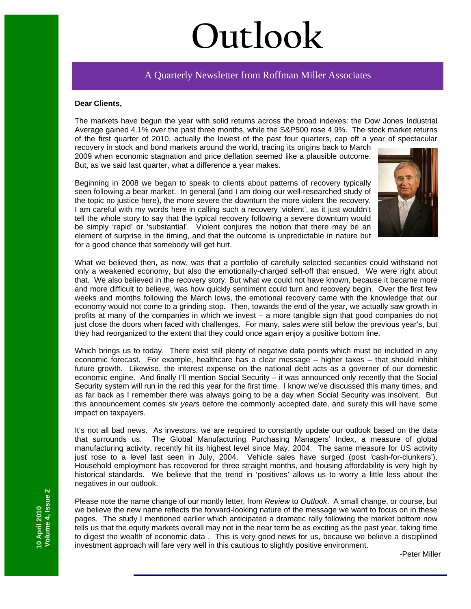# **Outlook**

# A Quarterly Newsletter from Roffman Miller Associates

### **Dear Clients,**

The markets have begun the year with solid returns across the broad indexes: the Dow Jones Industrial Average gained 4.1% over the past three months, while the S&P500 rose 4.9%. The stock market returns of the first quarter of 2010, actually the lowest of the past four quarters, cap off a year of spectacular

recovery in stock and bond markets around the world, tracing its origins back to March 2009 when economic stagnation and price deflation seemed like a plausible outcome. But, as we said last quarter, what a difference a year makes.

Beginning in 2008 we began to speak to clients about patterns of recovery typically seen following a bear market. In general (and I am doing our well-researched study of the topic no justice here), the more severe the downturn the more violent the recovery. I am careful with my words here in calling such a recovery 'violent', as it just wouldn't tell the whole story to say that the typical recovery following a severe downturn would be simply 'rapid' or 'substantial'. Violent conjures the notion that there may be an element of surprise in the timing, and that the outcome is unpredictable in nature but for a good chance that somebody will get hurt.



What we believed then, as now, was that a portfolio of carefully selected securities could withstand not only a weakened economy, but also the emotionally-charged sell-off that ensued. We were right about that. We also believed in the recovery story. But what we could not have known, because it became more and more difficult to believe, was how quickly sentiment could turn and recovery begin. Over the first few weeks and months following the March lows, the emotional recovery came with the knowledge that our economy would not come to a grinding stop. Then, towards the end of the year, we actually saw growth in profits at many of the companies in which we invest – a more tangible sign that good companies do not just close the doors when faced with challenges. For many, sales were still below the previous year's, but they had reorganized to the extent that they could once again enjoy a positive bottom line.

Which brings us to today. There exist still plenty of negative data points which must be included in any economic forecast. For example, healthcare has a clear message – higher taxes – that should inhibit future growth. Likewise, the interest expense on the national debt acts as a governer of our domestic economic engine. And finally I'll mention Social Security – it was announced only recently that the Social Security system will run in the red this year for the first time. I know we've discussed this many times, and as far back as I remember there was always going to be a day when Social Security was insolvent. But this announcement comes *six years* before the commonly accepted date, and surely this will have some impact on taxpayers.

It's not all bad news. As investors, we are required to constantly update our outlook based on the data that surrounds us. The Global Manufacturing Purchasing Managers' Index, a measure of global manufacturing activity, recently hit its highest level since May, 2004. The same measure for US activity just rose to a level last seen in July, 2004. Vehicle sales have surged (post 'cash-for-clunkers'). Household employment has recovered for three straight months, and housing affordability is very high by historical standards. We believe that the trend in 'positives' allows us to worry a little less about the negatives in our outlook.

Please note the name change of our montly letter, from *Review* to *Outlook*. A small change, or course, but we believe the new name reflects the forward-looking nature of the message we want to focus on in these pages. The study I mentioned earlier which anticipated a dramatic rally following the market bottom now tells us that the equity markets overall may not in the near term be as exciting as the past year, taking time to digest the wealth of economic data . This is very good news for us, because we believe a disciplined investment approach will fare very well in this cautious to slightly positive environment.

-Peter Miller